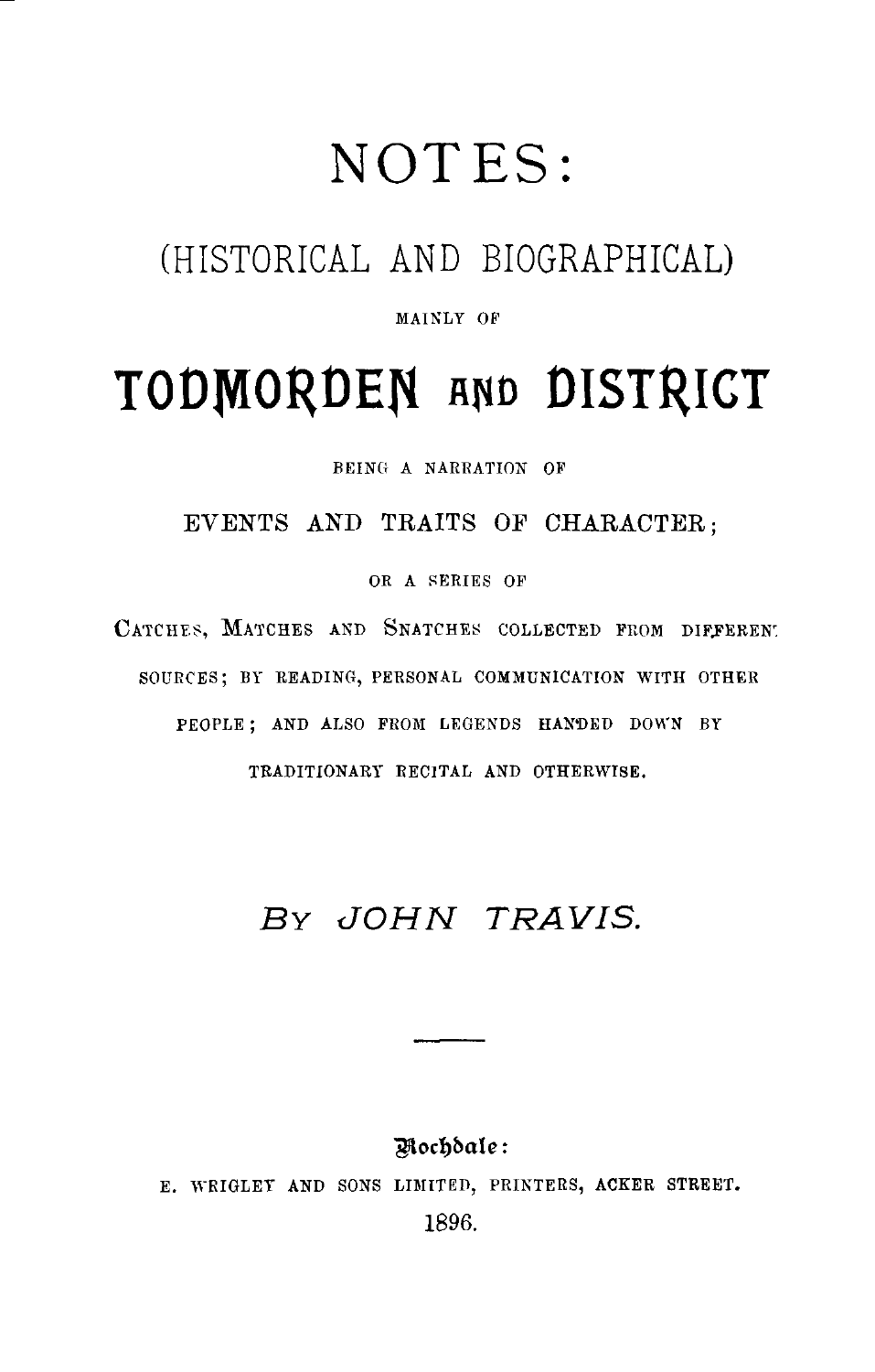## NOTES

## (HISTORICAL AND BIOGRAPHICAL)

#### MAINLY OF

# TODMORDEN AND DISTRICT

BEING A NARRATION OF

EVENTS AND TRAITS OF CHARACTER ;

OR A SERIES OF

CATCHES, MATCHES AND SNATCHES COLLECTED FROM DIFFERENT SOURCES; BY READING, PERSONAL COMMUNICATION WITH OTHER PEOPLE ; AND ALSO FROM LEGENDS HANDED DOWN BY TRADITIONARY RECITAL AND OTHERWISE.

## BY JOHN TRAVIS.

#### Nochdale:

roco. E. WRIGLEY AND SONS LIMITED, PRINTERS, ACKER STREET. 1896.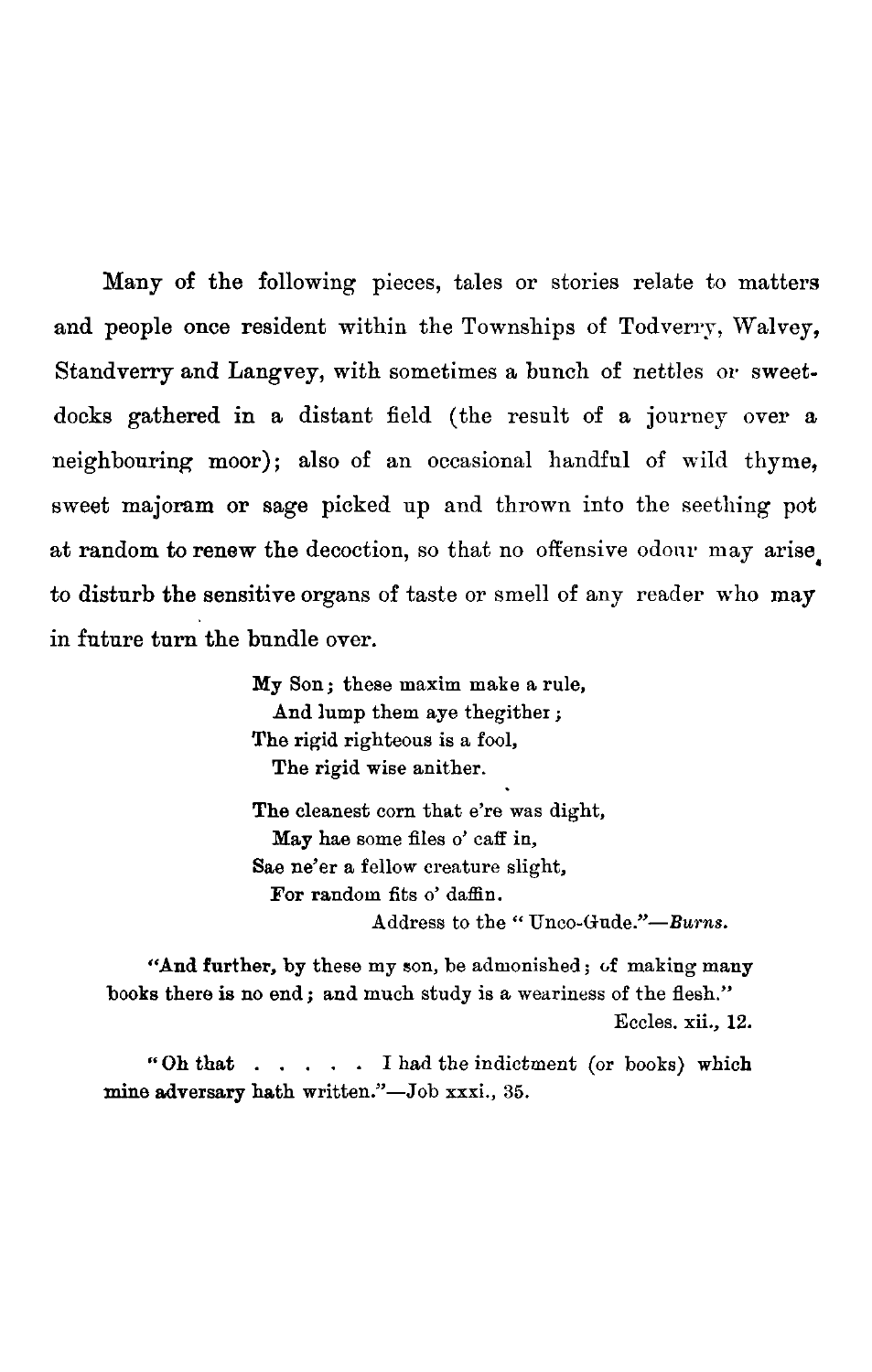Many of the following pieces, tales or stories relate to matters and people once resident within the Townships of Todverry, Walvey, Standverry and Langvey, with sometimes a bunch of nettles or sweetdocks gathered in a distant field (the result of a journey over a neighbouring moor); also of an occasional handful of wild thyme, sweet majoram or sage picked up and thrown into the seething pot at random to renew the decoction, so that no offensive odour may arise to disturb the sensitive organs of taste or smell of any reader who may in future turn the bundle over.

> My Son ; these maxim make a rule, And lump them aye thegither ; The rigid righteous is a fool, The rigid wise anither.

The cleanest corn that e're was dight, May hae some files o' caff in, Sae ne'er a fellow creature slight, For random fits o' daffin. Address to the "Unco-Gude."-Burns.

"And further, by these my son, be admonished; of making many books there is no end; and much study is a weariness of the flesh." Eccles. xii., 12. Address to the "Unco-Gude."—Burns.<br>
"And further, by these my son, be admonished; of making many<br>
is there is no end; and much study is a weariness of the flesh."<br>
Eccles. xii., 12.<br>
"Oh that . . . . . . I had the indictm

mine adversary hath written."-Job xxxi., 35.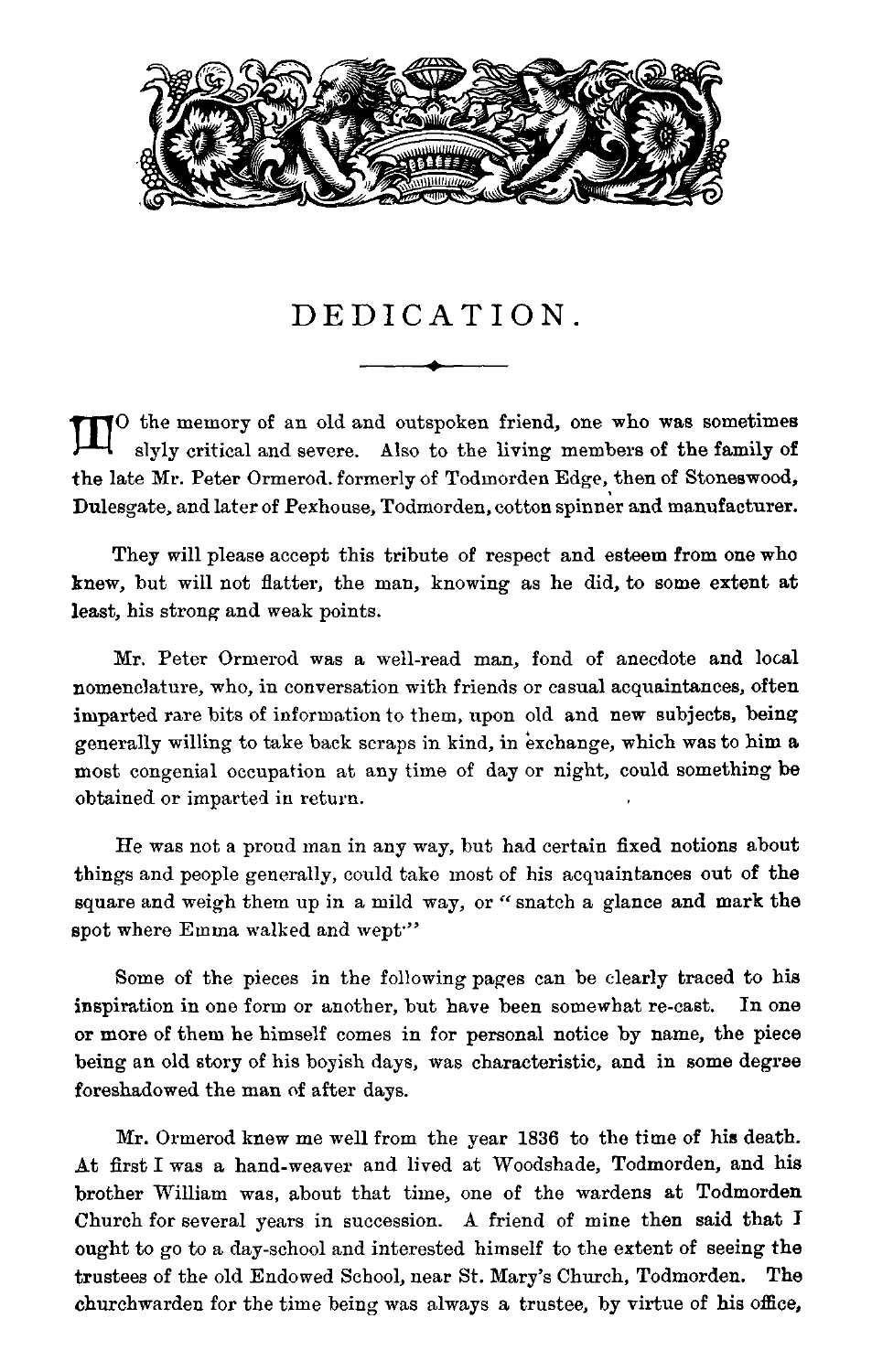

## DEDICATION .

TO the memory of an old and outspoken friend, one who was sometimes slyly critical and severe. Also to the living members of the family of the late Mr . Peter Ormerod. formerly of Todmorden Edge, then of Stoneswood, Dulesgate, and later of Pexhouse, Todmorden, cotton spinner and manufacturer .

They will please accept this tribute of respect and esteem from one who knew, but will not flatter, the man, knowing as he did, to some extent at least, his strong and weak points.

Mr. Peter Ormerod was a well-read man, fond of anecdote and local nomenclature, who, in conversation with friends or casual acquaintances, often imparted rare bits of information to them, upon old and new subjects, being generally willing to take back scraps in kind, in exchange, which was to him a most congenial occupation at any time of day or night, could something be obtained or imparted in return.

He was not a proud man in any way, but had certain fixed notions about things and people generally, could take most of his acquaintances out of the square and weigh them up in a mild way, or " snatch a glance and mark the spot where Emma walked and wept"

Some of the pieces in the following pages can be clearly traced to his inspiration in one form or another, but have been somewhat re-cast. In one or more of them he himself comes in for personal notice by name, the piece being an old story of his boyish days, was characteristic, and in some degree foreshadowed the man of after days .

Mr. Ormerod knew me well from the year 1836 to the time of his death. At first I was a hand-weaver and lived at Woodshade, Todmorden, and his brother William was, about that time, one of the wardens at Todmorden Church for several years in succession . A friend of mine then said that I ought to go to a day-school and interested himself to the extent of seeing the trustees of the old Endowed School, near St . Mary's Church, Todmorden . The churchwarden for the time being was always a trustee, by virtue of his office,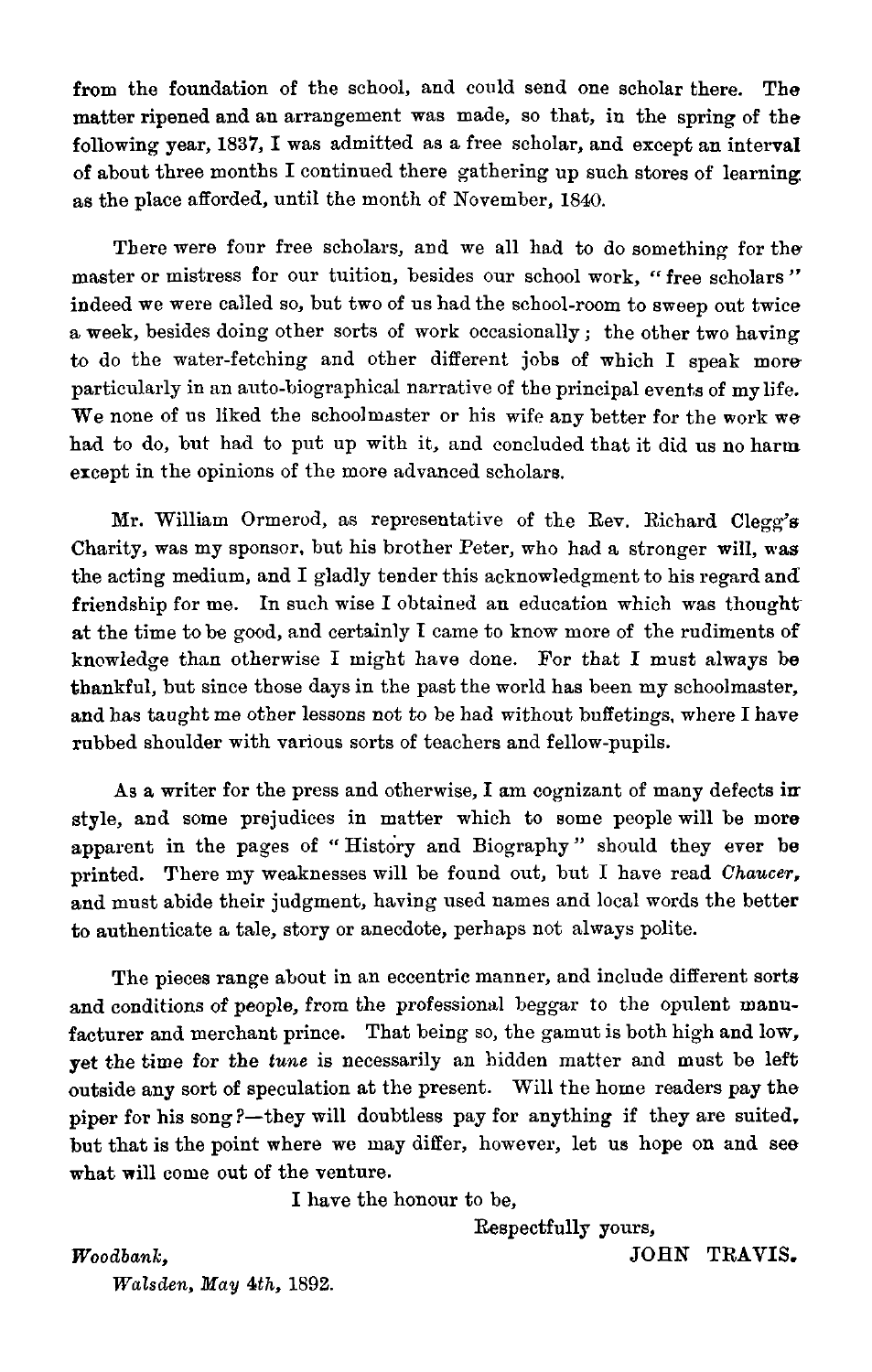from the foundation of the school, and could send one scholar there. The matter ripened and an arrangement was made, so that, in the spring of the following year, 1837, I was admitted as a free scholar, and except an interval of about three months I continued there gathering up such stores of learning as the place afforded, until the month of November, 1840. from the

There were four free scholars, and we all had to do something for the master or mistress for our tuition, besides our school work, " free scholars " indeed we were called so, but two of us had the school-room to sweep out twice a week, besides doing other sorts of work occasionally ; the other two having to do the water-fetching and other different jobs of which I speak more particularly in an auto-biographical narrative of the principal events of my life. We none of us liked the schoolmaster or his wife any better for the work we had to do, but had to put up with it, and concluded that it did us no harm except in the opinions of the more advanced scholars.

Mr. William Ormerod, as representative of the Rev. Richard Clegg's Charity, was my sponsor, but his brother Peter, who had a stronger will, was the acting medium, and I gladly tender this acknowledgment to his regard and friendship for me. In such wise I obtained an education which was thought at the time to be good, and certainly I came to know more of the rudiments of knowledge than otherwise I might have done. For that I must always be thankful, but since those days in the past the world has been my schoolmaster, and has taught me other lessons not to be had without buffetings, where I have rubbed shoulder with various sorts of teachers and fellow-pupils .

As a writer for the press and otherwise, I am cognizant of many defects in style, and some prejudices in matter which to some people will be more apparent in the pages of "History and Biography" should they ever be printed. There my weaknesses will be found out, but I have read Chaucer, and must abide their judgment, having used names and local words the better to authenticate a tale, story or anecdote, perhaps not always polite.

The pieces range about in an eccentric manner, and include different sorts and conditions of people, from the professional beggar to the opulent manufacturer and merchant prince. That being so, the gamut is both high and low, yet the time for the tune is necessarily an hidden matter and must be left outside any sort of speculation at the present. Will the home readers pay the piper for his song?-they will doubtless pay for anything if they are suited, but that is the point where we may differ, however, let us hope on and see what will come out of the venture.

I have the honour to be,

Respectfully yours,

Woodbank, Walsden, May 4th, 1892. JOHN TRAVIS.